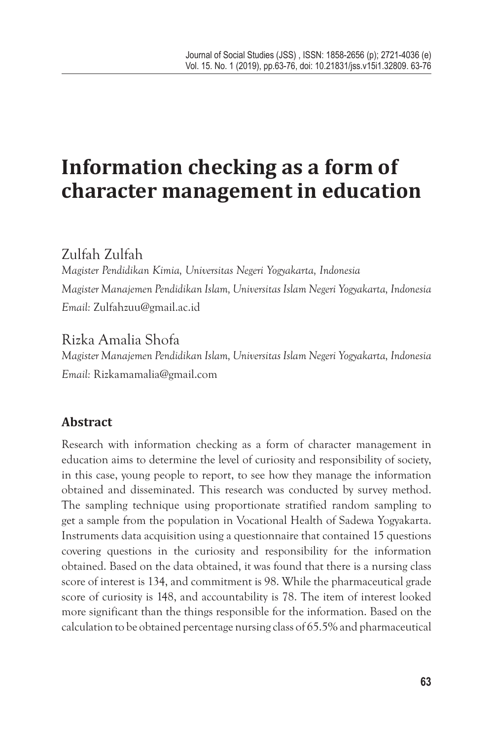# **Information checking as a form of character management in education**

# Zulfah Zulfah

*Magister Pendidikan Kimia, Universitas Negeri Yogyakarta, Indonesia Magister Manajemen Pendidikan Islam, Universitas Islam Negeri Yogyakarta, Indonesia Email:* Zulfahzuu@gmail.ac.id

# Rizka Amalia Shofa

*Magister Manajemen Pendidikan Islam, Universitas Islam Negeri Yogyakarta, Indonesia Email:* Rizkamamalia@gmail.com

# **Abstract**

Research with information checking as a form of character management in education aims to determine the level of curiosity and responsibility of society, in this case, young people to report, to see how they manage the information obtained and disseminated. This research was conducted by survey method. The sampling technique using proportionate stratified random sampling to get a sample from the population in Vocational Health of Sadewa Yogyakarta. Instruments data acquisition using a questionnaire that contained 15 questions covering questions in the curiosity and responsibility for the information obtained. Based on the data obtained, it was found that there is a nursing class score of interest is 134, and commitment is 98. While the pharmaceutical grade score of curiosity is 148, and accountability is 78. The item of interest looked more significant than the things responsible for the information. Based on the calculation to be obtained percentage nursing class of 65.5% and pharmaceutical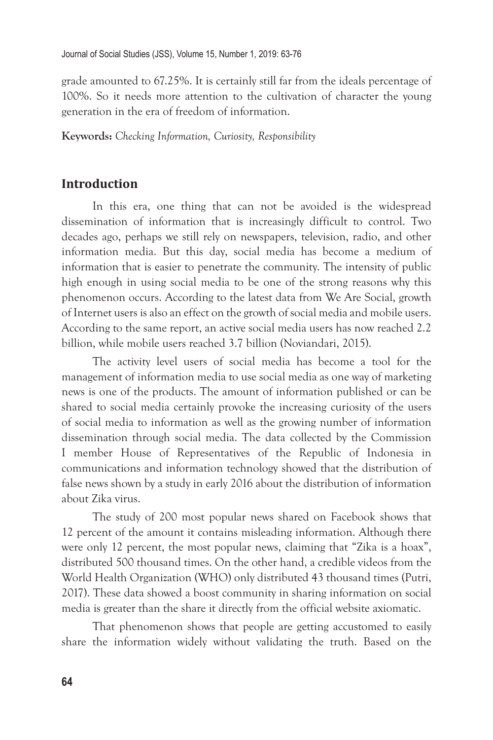grade amounted to 67.25%. It is certainly still far from the ideals percentage of 100%. So it needs more attention to the cultivation of character the young generation in the era of freedom of information.

**Keywords:** *Checking Information, Curiosity, Responsibility*

### **Introduction**

In this era, one thing that can not be avoided is the widespread dissemination of information that is increasingly difficult to control. Two decades ago, perhaps we still rely on newspapers, television, radio, and other information media. But this day, social media has become a medium of information that is easier to penetrate the community. The intensity of public high enough in using social media to be one of the strong reasons why this phenomenon occurs. According to the latest data from We Are Social, growth of Internet users is also an effect on the growth of social media and mobile users. According to the same report, an active social media users has now reached 2.2 billion, while mobile users reached 3.7 billion (Noviandari, 2015).

The activity level users of social media has become a tool for the management of information media to use social media as one way of marketing news is one of the products. The amount of information published or can be shared to social media certainly provoke the increasing curiosity of the users of social media to information as well as the growing number of information dissemination through social media. The data collected by the Commission I member House of Representatives of the Republic of Indonesia in communications and information technology showed that the distribution of false news shown by a study in early 2016 about the distribution of information about Zika virus.

The study of 200 most popular news shared on Facebook shows that 12 percent of the amount it contains misleading information. Although there were only 12 percent, the most popular news, claiming that "Zika is a hoax", distributed 500 thousand times. On the other hand, a credible videos from the World Health Organization (WHO) only distributed 43 thousand times (Putri, 2017). These data showed a boost community in sharing information on social media is greater than the share it directly from the official website axiomatic.

That phenomenon shows that people are getting accustomed to easily share the information widely without validating the truth. Based on the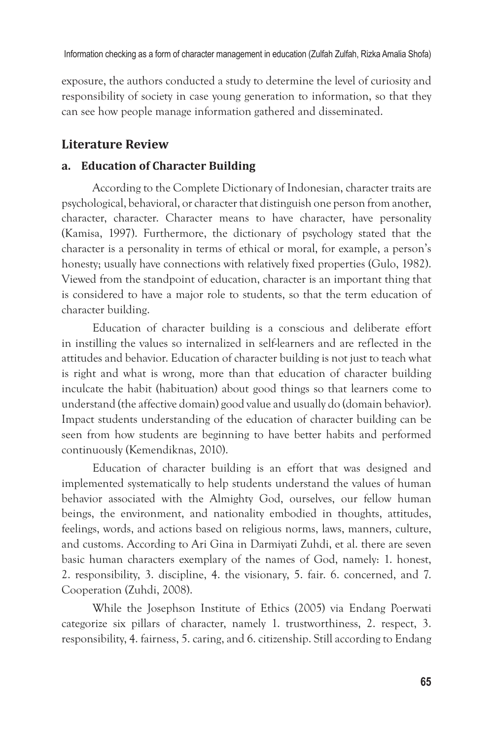exposure, the authors conducted a study to determine the level of curiosity and responsibility of society in case young generation to information, so that they can see how people manage information gathered and disseminated.

## **Literature Review**

#### **a. Education of Character Building**

According to the Complete Dictionary of Indonesian, character traits are psychological, behavioral, or character that distinguish one person from another, character, character. Character means to have character, have personality (Kamisa, 1997). Furthermore, the dictionary of psychology stated that the character is a personality in terms of ethical or moral, for example, a person's honesty; usually have connections with relatively fixed properties (Gulo, 1982). Viewed from the standpoint of education, character is an important thing that is considered to have a major role to students, so that the term education of character building.

Education of character building is a conscious and deliberate effort in instilling the values so internalized in self-learners and are reflected in the attitudes and behavior. Education of character building is not just to teach what is right and what is wrong, more than that education of character building inculcate the habit (habituation) about good things so that learners come to understand (the affective domain) good value and usually do (domain behavior). Impact students understanding of the education of character building can be seen from how students are beginning to have better habits and performed continuously (Kemendiknas, 2010).

Education of character building is an effort that was designed and implemented systematically to help students understand the values of human behavior associated with the Almighty God, ourselves, our fellow human beings, the environment, and nationality embodied in thoughts, attitudes, feelings, words, and actions based on religious norms, laws, manners, culture, and customs. According to Ari Gina in Darmiyati Zuhdi, et al. there are seven basic human characters exemplary of the names of God, namely: 1. honest, 2. responsibility, 3. discipline, 4. the visionary, 5. fair. 6. concerned, and 7. Cooperation (Zuhdi, 2008).

While the Josephson Institute of Ethics (2005) via Endang Poerwati categorize six pillars of character, namely 1. trustworthiness, 2. respect, 3. responsibility, 4. fairness, 5. caring, and 6. citizenship. Still according to Endang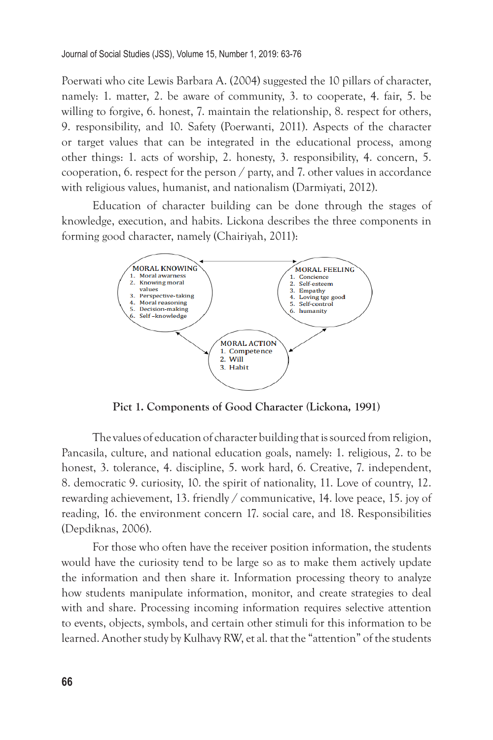Poerwati who cite Lewis Barbara A. (2004) suggested the 10 pillars of character, namely: 1. matter, 2. be aware of community, 3. to cooperate, 4. fair, 5. be willing to forgive, 6. honest, 7. maintain the relationship, 8. respect for others, 9. responsibility, and 10. Safety (Poerwanti, 2011). Aspects of the character or target values that can be integrated in the educational process, among other things: 1. acts of worship, 2. honesty, 3. responsibility, 4. concern, 5. cooperation, 6. respect for the person / party, and 7. other values in accordance with religious values, humanist, and nationalism (Darmiyati, 2012).

Education of character building can be done through the stages of knowledge, execution, and habits. Lickona describes the three components in forming good character, namely (Chairiyah, 2011):



**Pict 1. Components of Good Character (Lickona, 1991)**

The values of education of character building that is sourced from religion, Pancasila, culture, and national education goals, namely: 1. religious, 2. to be honest, 3. tolerance, 4. discipline, 5. work hard, 6. Creative, 7. independent, 8. democratic 9. curiosity, 10. the spirit of nationality, 11. Love of country, 12. rewarding achievement, 13. friendly / communicative, 14. love peace, 15. joy of reading, 16. the environment concern 17. social care, and 18. Responsibilities (Depdiknas, 2006).

For those who often have the receiver position information, the students would have the curiosity tend to be large so as to make them actively update the information and then share it. Information processing theory to analyze how students manipulate information, monitor, and create strategies to deal with and share. Processing incoming information requires selective attention to events, objects, symbols, and certain other stimuli for this information to be learned. Another study by Kulhavy RW, et al. that the "attention" of the students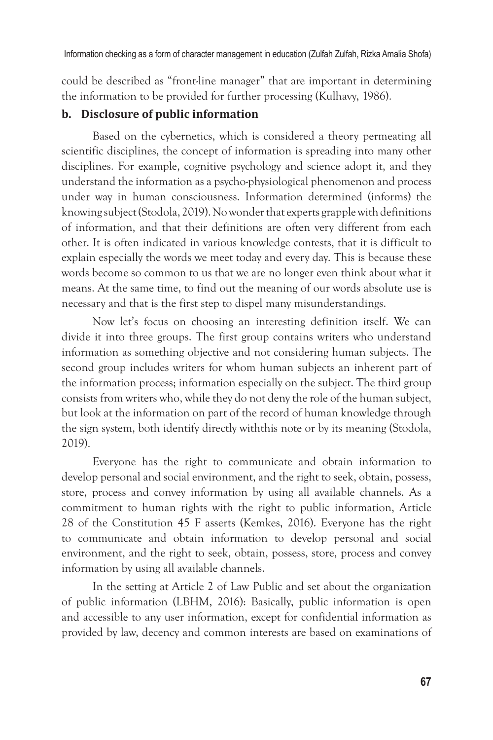Information checking as a form of character management in education (Zulfah Zulfah, Rizka Amalia Shofa)

could be described as "front-line manager" that are important in determining the information to be provided for further processing (Kulhavy, 1986).

#### **b. Disclosure of public information**

Based on the cybernetics, which is considered a theory permeating all scientific disciplines, the concept of information is spreading into many other disciplines. For example, cognitive psychology and science adopt it, and they understand the information as a psycho-physiological phenomenon and process under way in human consciousness. Information determined (informs) the knowing subject (Stodola, 2019). No wonder that experts grapple with definitions of information, and that their definitions are often very different from each other. It is often indicated in various knowledge contests, that it is difficult to explain especially the words we meet today and every day. This is because these words become so common to us that we are no longer even think about what it means. At the same time, to find out the meaning of our words absolute use is necessary and that is the first step to dispel many misunderstandings.

Now let's focus on choosing an interesting definition itself. We can divide it into three groups. The first group contains writers who understand information as something objective and not considering human subjects. The second group includes writers for whom human subjects an inherent part of the information process; information especially on the subject. The third group consists from writers who, while they do not deny the role of the human subject, but look at the information on part of the record of human knowledge through the sign system, both identify directly withthis note or by its meaning (Stodola, 2019).

Everyone has the right to communicate and obtain information to develop personal and social environment, and the right to seek, obtain, possess, store, process and convey information by using all available channels. As a commitment to human rights with the right to public information, Article 28 of the Constitution 45 F asserts (Kemkes, 2016). Everyone has the right to communicate and obtain information to develop personal and social environment, and the right to seek, obtain, possess, store, process and convey information by using all available channels.

In the setting at Article 2 of Law Public and set about the organization of public information (LBHM, 2016): Basically, public information is open and accessible to any user information, except for confidential information as provided by law, decency and common interests are based on examinations of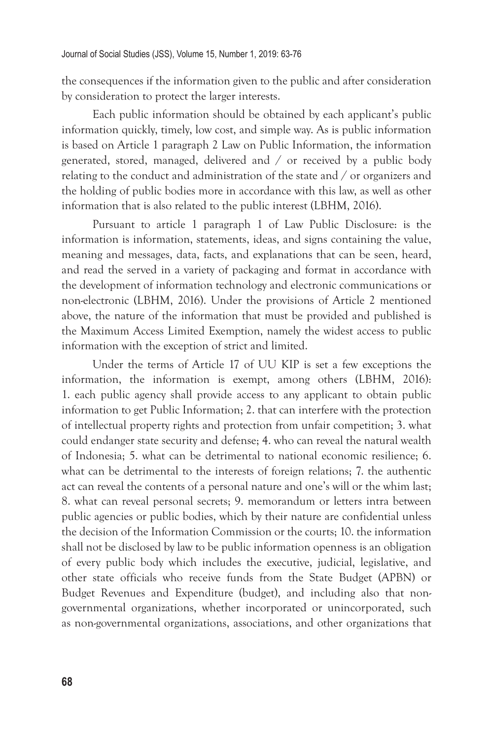the consequences if the information given to the public and after consideration by consideration to protect the larger interests.

Each public information should be obtained by each applicant's public information quickly, timely, low cost, and simple way. As is public information is based on Article 1 paragraph 2 Law on Public Information, the information generated, stored, managed, delivered and / or received by a public body relating to the conduct and administration of the state and / or organizers and the holding of public bodies more in accordance with this law, as well as other information that is also related to the public interest (LBHM, 2016).

Pursuant to article 1 paragraph 1 of Law Public Disclosure: is the information is information, statements, ideas, and signs containing the value, meaning and messages, data, facts, and explanations that can be seen, heard, and read the served in a variety of packaging and format in accordance with the development of information technology and electronic communications or non-electronic (LBHM, 2016). Under the provisions of Article 2 mentioned above, the nature of the information that must be provided and published is the Maximum Access Limited Exemption, namely the widest access to public information with the exception of strict and limited.

Under the terms of Article 17 of UU KIP is set a few exceptions the information, the information is exempt, among others (LBHM, 2016): 1. each public agency shall provide access to any applicant to obtain public information to get Public Information; 2. that can interfere with the protection of intellectual property rights and protection from unfair competition; 3. what could endanger state security and defense; 4. who can reveal the natural wealth of Indonesia; 5. what can be detrimental to national economic resilience; 6. what can be detrimental to the interests of foreign relations; 7. the authentic act can reveal the contents of a personal nature and one's will or the whim last; 8. what can reveal personal secrets; 9. memorandum or letters intra between public agencies or public bodies, which by their nature are confidential unless the decision of the Information Commission or the courts; 10. the information shall not be disclosed by law to be public information openness is an obligation of every public body which includes the executive, judicial, legislative, and other state officials who receive funds from the State Budget (APBN) or Budget Revenues and Expenditure (budget), and including also that nongovernmental organizations, whether incorporated or unincorporated, such as non-governmental organizations, associations, and other organizations that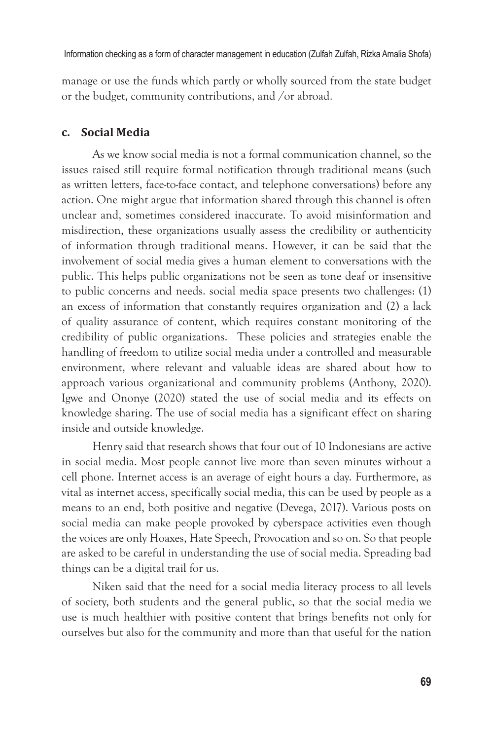manage or use the funds which partly or wholly sourced from the state budget or the budget, community contributions, and /or abroad.

#### **c. Social Media**

As we know social media is not a formal communication channel, so the issues raised still require formal notification through traditional means (such as written letters, face-to-face contact, and telephone conversations) before any action. One might argue that information shared through this channel is often unclear and, sometimes considered inaccurate. To avoid misinformation and misdirection, these organizations usually assess the credibility or authenticity of information through traditional means. However, it can be said that the involvement of social media gives a human element to conversations with the public. This helps public organizations not be seen as tone deaf or insensitive to public concerns and needs. social media space presents two challenges: (1) an excess of information that constantly requires organization and (2) a lack of quality assurance of content, which requires constant monitoring of the credibility of public organizations. These policies and strategies enable the handling of freedom to utilize social media under a controlled and measurable environment, where relevant and valuable ideas are shared about how to approach various organizational and community problems (Anthony, 2020). Igwe and Ononye (2020) stated the use of social media and its effects on knowledge sharing. The use of social media has a significant effect on sharing inside and outside knowledge.

Henry said that research shows that four out of 10 Indonesians are active in social media. Most people cannot live more than seven minutes without a cell phone. Internet access is an average of eight hours a day. Furthermore, as vital as internet access, specifically social media, this can be used by people as a means to an end, both positive and negative (Devega, 2017). Various posts on social media can make people provoked by cyberspace activities even though the voices are only Hoaxes, Hate Speech, Provocation and so on. So that people are asked to be careful in understanding the use of social media. Spreading bad things can be a digital trail for us.

Niken said that the need for a social media literacy process to all levels of society, both students and the general public, so that the social media we use is much healthier with positive content that brings benefits not only for ourselves but also for the community and more than that useful for the nation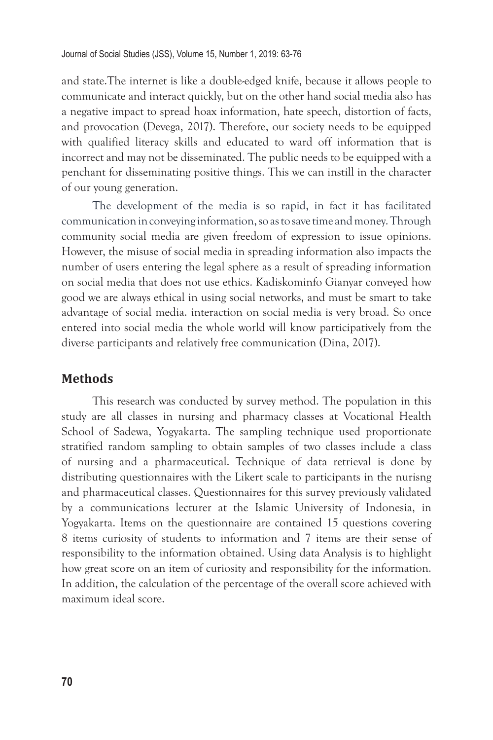and state.The internet is like a double-edged knife, because it allows people to communicate and interact quickly, but on the other hand social media also has a negative impact to spread hoax information, hate speech, distortion of facts, and provocation (Devega, 2017). Therefore, our society needs to be equipped with qualified literacy skills and educated to ward off information that is incorrect and may not be disseminated. The public needs to be equipped with a penchant for disseminating positive things. This we can instill in the character of our young generation.

The development of the media is so rapid, in fact it has facilitated communication in conveying information, so as to save time and money. Through community social media are given freedom of expression to issue opinions. However, the misuse of social media in spreading information also impacts the number of users entering the legal sphere as a result of spreading information on social media that does not use ethics. Kadiskominfo Gianyar conveyed how good we are always ethical in using social networks, and must be smart to take advantage of social media. interaction on social media is very broad. So once entered into social media the whole world will know participatively from the diverse participants and relatively free communication (Dina, 2017).

#### **Methods**

This research was conducted by survey method. The population in this study are all classes in nursing and pharmacy classes at Vocational Health School of Sadewa, Yogyakarta. The sampling technique used proportionate stratified random sampling to obtain samples of two classes include a class of nursing and a pharmaceutical. Technique of data retrieval is done by distributing questionnaires with the Likert scale to participants in the nurisng and pharmaceutical classes. Questionnaires for this survey previously validated by a communications lecturer at the Islamic University of Indonesia, in Yogyakarta. Items on the questionnaire are contained 15 questions covering 8 items curiosity of students to information and 7 items are their sense of responsibility to the information obtained. Using data Analysis is to highlight how great score on an item of curiosity and responsibility for the information. In addition, the calculation of the percentage of the overall score achieved with maximum ideal score.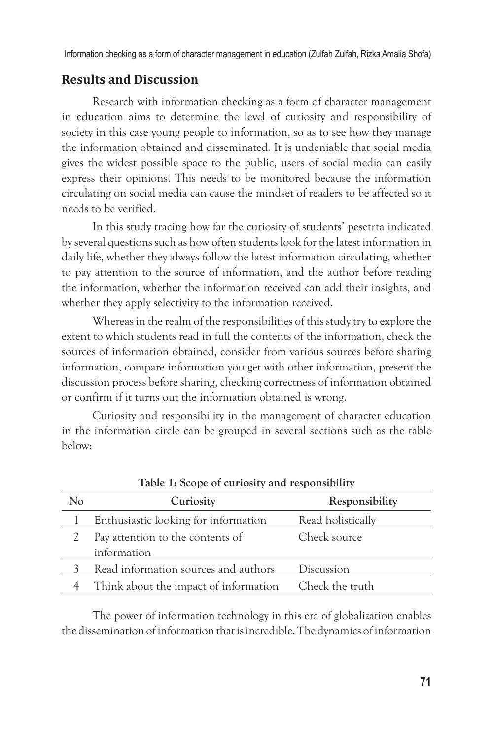Information checking as a form of character management in education (Zulfah Zulfah, Rizka Amalia Shofa)

# **Results and Discussion**

Research with information checking as a form of character management in education aims to determine the level of curiosity and responsibility of society in this case young people to information, so as to see how they manage the information obtained and disseminated. It is undeniable that social media gives the widest possible space to the public, users of social media can easily express their opinions. This needs to be monitored because the information circulating on social media can cause the mindset of readers to be affected so it needs to be verified.

In this study tracing how far the curiosity of students' pesetrta indicated by several questions such as how often students look for the latest information in daily life, whether they always follow the latest information circulating, whether to pay attention to the source of information, and the author before reading the information, whether the information received can add their insights, and whether they apply selectivity to the information received.

Whereas in the realm of the responsibilities of this study try to explore the extent to which students read in full the contents of the information, check the sources of information obtained, consider from various sources before sharing information, compare information you get with other information, present the discussion process before sharing, checking correctness of information obtained or confirm if it turns out the information obtained is wrong.

Curiosity and responsibility in the management of character education in the information circle can be grouped in several sections such as the table below:

| No | Curiosity                             | Responsibility    |
|----|---------------------------------------|-------------------|
|    | Enthusiastic looking for information  | Read holistically |
|    | Pay attention to the contents of      | Check source      |
|    | information                           |                   |
|    | Read information sources and authors  | Discussion        |
|    | Think about the impact of information | Check the truth   |
|    |                                       |                   |

**Table 1: Scope of curiosity and responsibility**

The power of information technology in this era of globalization enables the dissemination of information that is incredible. The dynamics of information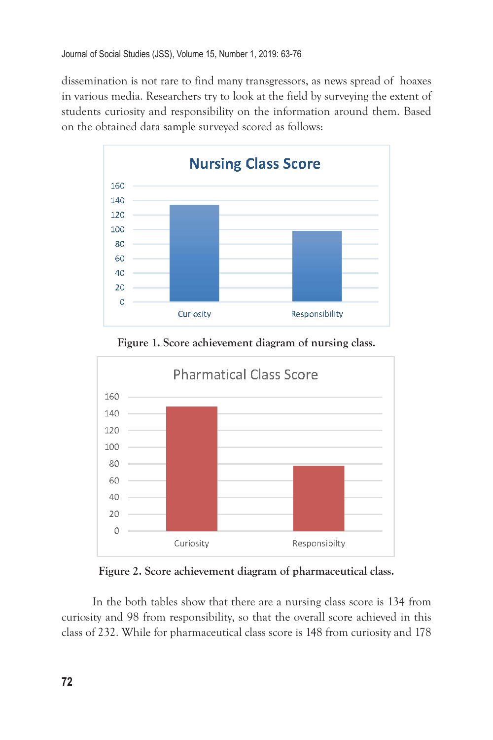dissemination is not rare to find many transgressors, as news spread of hoaxes in various media. Researchers try to look at the field by surveying the extent of students curiosity and responsibility on the information around them. Based on the obtained data sample surveyed scored as follows:



**Figure 1. Score achievement diagram of nursing class.**



**Figure 2. Score achievement diagram of pharmaceutical class.**

In the both tables show that there are a nursing class score is 134 from curiosity and 98 from responsibility, so that the overall score achieved in this class of 232. While for pharmaceutical class score is 148 from curiosity and 178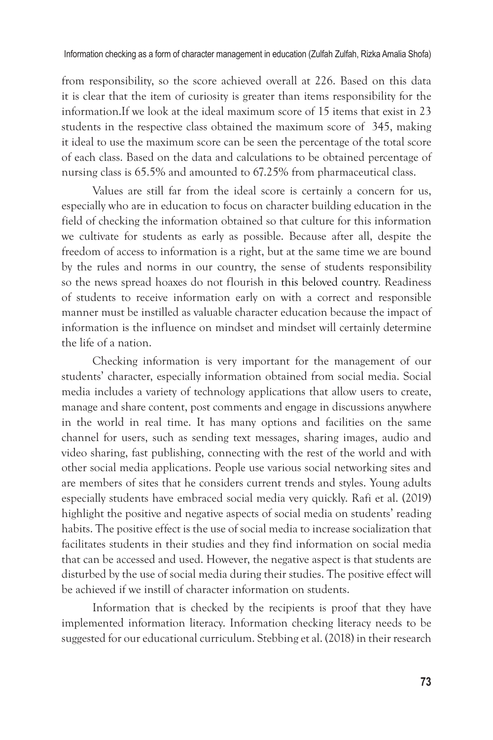from responsibility, so the score achieved overall at 226. Based on this data it is clear that the item of curiosity is greater than items responsibility for the information.If we look at the ideal maximum score of 15 items that exist in 23 students in the respective class obtained the maximum score of 345, making it ideal to use the maximum score can be seen the percentage of the total score of each class. Based on the data and calculations to be obtained percentage of nursing class is 65.5% and amounted to 67.25% from pharmaceutical class.

Values are still far from the ideal score is certainly a concern for us, especially who are in education to focus on character building education in the field of checking the information obtained so that culture for this information we cultivate for students as early as possible. Because after all, despite the freedom of access to information is a right, but at the same time we are bound by the rules and norms in our country, the sense of students responsibility so the news spread hoaxes do not flourish in this beloved country. Readiness of students to receive information early on with a correct and responsible manner must be instilled as valuable character education because the impact of information is the influence on mindset and mindset will certainly determine the life of a nation.

Checking information is very important for the management of our students' character, especially information obtained from social media. Social media includes a variety of technology applications that allow users to create, manage and share content, post comments and engage in discussions anywhere in the world in real time. It has many options and facilities on the same channel for users, such as sending text messages, sharing images, audio and video sharing, fast publishing, connecting with the rest of the world and with other social media applications. People use various social networking sites and are members of sites that he considers current trends and styles. Young adults especially students have embraced social media very quickly. Rafi et al. (2019) highlight the positive and negative aspects of social media on students' reading habits. The positive effect is the use of social media to increase socialization that facilitates students in their studies and they find information on social media that can be accessed and used. However, the negative aspect is that students are disturbed by the use of social media during their studies. The positive effect will be achieved if we instill of character information on students.

Information that is checked by the recipients is proof that they have implemented information literacy. Information checking literacy needs to be suggested for our educational curriculum. Stebbing et al. (2018) in their research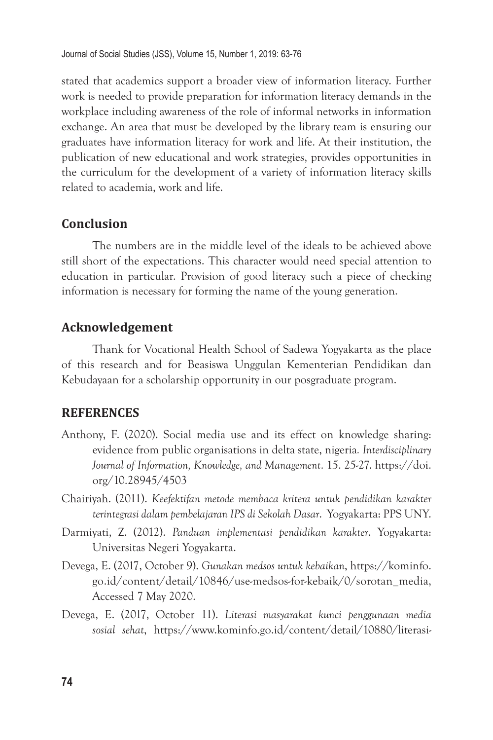stated that academics support a broader view of information literacy. Further work is needed to provide preparation for information literacy demands in the workplace including awareness of the role of informal networks in information exchange. An area that must be developed by the library team is ensuring our graduates have information literacy for work and life. At their institution, the publication of new educational and work strategies, provides opportunities in the curriculum for the development of a variety of information literacy skills related to academia, work and life.

# **Conclusion**

The numbers are in the middle level of the ideals to be achieved above still short of the expectations. This character would need special attention to education in particular. Provision of good literacy such a piece of checking information is necessary for forming the name of the young generation.

## **Acknowledgement**

Thank for Vocational Health School of Sadewa Yogyakarta as the place of this research and for Beasiswa Unggulan Kementerian Pendidikan dan Kebudayaan for a scholarship opportunity in our posgraduate program.

#### **REFERENCES**

- Anthony, F. (2020). Social media use and its effect on knowledge sharing: evidence from public organisations in delta state, nigeria*. Interdisciplinary Journal of Information, Knowledge, and Management*. 15. 25-27. https://doi. org/10.28945/4503
- Chairiyah. (2011). *Keefektifan metode membaca kritera untuk pendidikan karakter terintegrasi dalam pembelajaran IPS di Sekolah Dasar*. Yogyakarta: PPS UNY.
- Darmiyati, Z. (2012). *Panduan implementasi pendidikan karakter*. Yogyakarta: Universitas Negeri Yogyakarta.
- Devega, E. (2017, October 9). *Gunakan medsos untuk kebaikan*, https://kominfo. go.id/content/detail/10846/use-medsos-for-kebaik/0/sorotan\_media, Accessed 7 May 2020.
- Devega, E. (2017, October 11). *Literasi masyarakat kunci penggunaan media sosial sehat*, https://www.kominfo.go.id/content/detail/10880/literasi-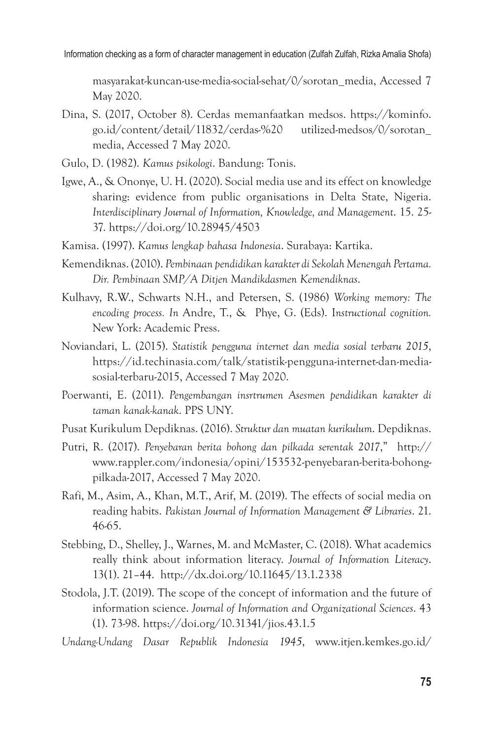Information checking as a form of character management in education (Zulfah Zulfah, Rizka Amalia Shofa)

masyarakat-kuncan-use-media-social-sehat/0/sorotan\_media, Accessed 7 May 2020.

- Dina, S. (2017, October 8). Cerdas memanfaatkan medsos. https://kominfo. go.id/content/detail/11832/cerdas-%20 utilized-medsos/0/sorotan\_ media, Accessed 7 May 2020.
- Gulo, D. (1982). *Kamus psikologi*. Bandung: Tonis.
- Igwe, A., & Ononye, U. H. (2020). Social media use and its effect on knowledge sharing: evidence from public organisations in Delta State, Nigeria. *Interdisciplinary Journal of Information, Knowledge, and Management*. 15. 25- 37. https://doi.org/10.28945/4503
- Kamisa. (1997). *Kamus lengkap bahasa Indonesia*. Surabaya: Kartika.
- Kemendiknas. (2010). *Pembinaan pendidikan karakter di Sekolah Menengah Pertama. Dir. Pembinaan SMP/A Ditjen Mandikdasmen Kemendiknas*.
- Kulhavy, R.W., Schwarts N.H., and Petersen, S. (1986) *Working memory: The encoding process. In* Andre, T., & Phye, G. (Eds). I*nstructional cognition.* New York: Academic Press.
- Noviandari, L. (2015). *Statistik pengguna internet dan media sosial terbaru 2015*, https://id.techinasia.com/talk/statistik-pengguna-internet-dan-mediasosial-terbaru-2015, Accessed 7 May 2020.
- Poerwanti, E. (2011). *Pengembangan insrtrumen Asesmen pendidikan karakter di taman kanak-kanak*. PPS UNY.
- Pusat Kurikulum Depdiknas. (2016). *Struktur dan muatan kurikulum*. Depdiknas.
- Putri, R. (2017). *Penyebaran berita bohong dan pilkada serentak 2017*," http:// www.rappler.com/indonesia/opini/153532-penyebaran-berita-bohongpilkada-2017, Accessed 7 May 2020.
- Rafi, M., Asim, A., Khan, M.T., Arif, M. (2019). The effects of social media on reading habits. *Pakistan Journal of Information Management & Libraries*. 21. 46-65.
- Stebbing, D., Shelley, J., Warnes, M. and McMaster, C. (2018). What academics really think about information literacy. *Journal of Information Literacy*. 13(1). 21–44. http://dx.doi.org/10.11645/13.1.2338
- Stodola, J.T. (2019). The scope of the concept of information and the future of information science. *Journal of Information and Organizational Sciences*. 43 (1). 73-98. https://doi.org/10.31341/jios.43.1.5
- *Undang-Undang Dasar Republik Indonesia 1945*, www.itjen.kemkes.go.id/